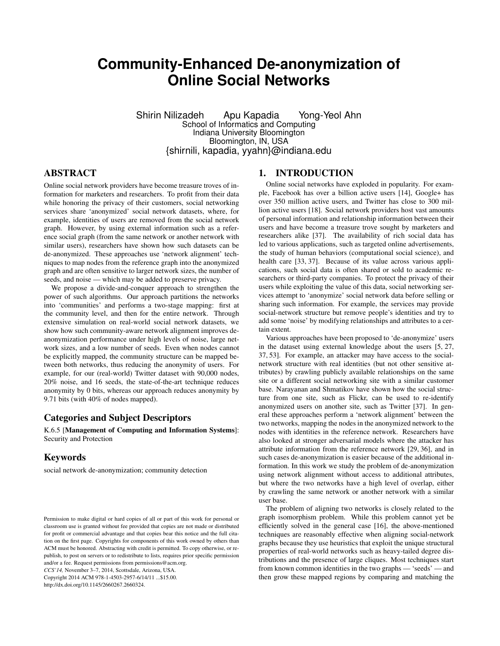# **Community-Enhanced De-anonymization of Online Social Networks**

Shirin Nilizadeh Apu Kapadia Yong-Yeol Ahn School of Informatics and Computing Indiana University Bloomington Bloomington, IN, USA {shirnili, kapadia, yyahn}@indiana.edu

# ABSTRACT

Online social network providers have become treasure troves of information for marketers and researchers. To profit from their data while honoring the privacy of their customers, social networking services share 'anonymized' social network datasets, where, for example, identities of users are removed from the social network graph. However, by using external information such as a reference social graph (from the same network or another network with similar users), researchers have shown how such datasets can be de-anonymized. These approaches use 'network alignment' techniques to map nodes from the reference graph into the anonymized graph and are often sensitive to larger network sizes, the number of seeds, and noise — which may be added to preserve privacy.

We propose a divide-and-conquer approach to strengthen the power of such algorithms. Our approach partitions the networks into 'communities' and performs a two-stage mapping: first at the community level, and then for the entire network. Through extensive simulation on real-world social network datasets, we show how such community-aware network alignment improves deanonymization performance under high levels of noise, large network sizes, and a low number of seeds. Even when nodes cannot be explicitly mapped, the community structure can be mapped between both networks, thus reducing the anonymity of users. For example, for our (real-world) Twitter dataset with 90,000 nodes, 20% noise, and 16 seeds, the state-of-the-art technique reduces anonymity by 0 bits, whereas our approach reduces anonymity by 9.71 bits (with 40% of nodes mapped).

# Categories and Subject Descriptors

K.6.5 [Management of Computing and Information Systems]: Security and Protection

# Keywords

social network de-anonymization; community detection

*CCS'14,* November 3–7, 2014, Scottsdale, Arizona, USA. Copyright 2014 ACM 978-1-4503-2957-6/14/11 ...\$15.00. http://dx.doi.org/10.1145/2660267.2660324.

# 1. INTRODUCTION

Online social networks have exploded in popularity. For example, Facebook has over a billion active users [\[14\]](#page-10-0), Google+ has over 350 million active users, and Twitter has close to 300 million active users [\[18\]](#page-10-1). Social network providers host vast amounts of personal information and relationship information between their users and have become a treasure trove sought by marketers and researchers alike [\[37\]](#page-11-0). The availability of rich social data has led to various applications, such as targeted online advertisements, the study of human behaviors (computational social science), and health care [\[33,](#page-11-1) [37\]](#page-11-0). Because of its value across various applications, such social data is often shared or sold to academic researchers or third-party companies. To protect the privacy of their users while exploiting the value of this data, social networking services attempt to 'anonymize' social network data before selling or sharing such information. For example, the services may provide social-network structure but remove people's identities and try to add some 'noise' by modifying relationships and attributes to a certain extent.

Various approaches have been proposed to 'de-anonymize' users in the dataset using external knowledge about the users [\[5,](#page-10-2) [27,](#page-10-3) [37,](#page-11-0) [53\]](#page-11-2). For example, an attacker may have access to the socialnetwork structure with real identities (but not other sensitive attributes) by crawling publicly available relationships on the same site or a different social networking site with a similar customer base. Narayanan and Shmatikov have shown how the social structure from one site, such as Flickr, can be used to re-identify anonymized users on another site, such as Twitter [\[37\]](#page-11-0). In general these approaches perform a 'network alignment' between the two networks, mapping the nodes in the anonymized network to the nodes with identities in the reference network. Researchers have also looked at stronger adversarial models where the attacker has attribute information from the reference network [\[29,](#page-11-3) [36\]](#page-11-4), and in such cases de-anonymization is easier because of the additional information. In this work we study the problem of de-anonymization using network alignment without access to additional attributes, but where the two networks have a high level of overlap, either by crawling the same network or another network with a similar user base.

The problem of aligning two networks is closely related to the graph isomorphism problem. While this problem cannot yet be efficiently solved in the general case [\[16\]](#page-10-4), the above-mentioned techniques are reasonably effective when aligning social-network graphs because they use heuristics that exploit the unique structural properties of real-world networks such as heavy-tailed degree distributions and the presence of large cliques. Most techniques start from known common identities in the two graphs — 'seeds' — and then grow these mapped regions by comparing and matching the

Permission to make digital or hard copies of all or part of this work for personal or classroom use is granted without fee provided that copies are not made or distributed for profit or commercial advantage and that copies bear this notice and the full citation on the first page. Copyrights for components of this work owned by others than ACM must be honored. Abstracting with credit is permitted. To copy otherwise, or republish, to post on servers or to redistribute to lists, requires prior specific permission and/or a fee. Request permissions from permissions@acm.org.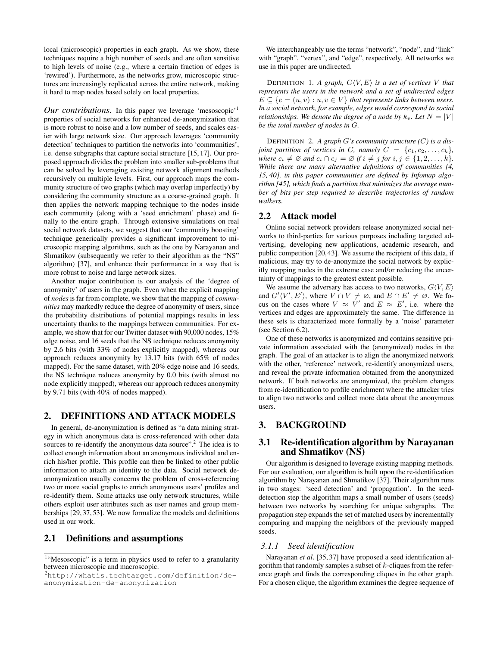local (microscopic) properties in each graph. As we show, these techniques require a high number of seeds and are often sensitive to high levels of noise (e.g., where a certain fraction of edges is 'rewired'). Furthermore, as the networks grow, microscopic structures are increasingly replicated across the entire network, making it hard to map nodes based solely on local properties.

*Our contributions.* In this paper we leverage 'mesoscopic'<sup>[1](#page-1-0)</sup> properties of social networks for enhanced de-anonymization that is more robust to noise and a low number of seeds, and scales easier with large network size. Our approach leverages 'community detection' techniques to partition the networks into 'communities', i.e. dense subgraphs that capture social structure [\[15,](#page-10-5) [17\]](#page-10-6). Our proposed approach divides the problem into smaller sub-problems that can be solved by leveraging existing network alignment methods recursively on multiple levels. First, our approach maps the community structure of two graphs (which may overlap imperfectly) by considering the community structure as a coarse-grained graph. It then applies the network mapping technique to the nodes inside each community (along with a 'seed enrichment' phase) and finally to the entire graph. Through extensive simulations on real social network datasets, we suggest that our 'community boosting' technique generically provides a significant improvement to microscopic mapping algorithms, such as the one by Narayanan and Shmatikov (subsequently we refer to their algorithm as the "NS" algorithm) [\[37\]](#page-11-0), and enhance their performance in a way that is more robust to noise and large network sizes.

Another major contribution is our analysis of the 'degree of anonymity' of users in the graph. Even when the explicit mapping of *nodes* is far from complete, we show that the mapping of *communities* may markedly reduce the degree of anonymity of users, since the probability distributions of potential mappings results in less uncertainty thanks to the mappings between communities. For example, we show that for our Twitter dataset with 90,000 nodes, 15% edge noise, and 16 seeds that the NS technique reduces anonymity by 2.6 bits (with 33% of nodes explicitly mapped), whereas our approach reduces anonymity by 13.17 bits (with 65% of nodes mapped). For the same dataset, with 20% edge noise and 16 seeds, the NS technique reduces anonymity by 0.0 bits (with almost no node explicitly mapped), whereas our approach reduces anonymity by 9.71 bits (with 40% of nodes mapped).

# 2. DEFINITIONS AND ATTACK MODELS

In general, de-anonymization is defined as "a data mining strategy in which anonymous data is cross-referenced with other data sources to re-identify the anonymous data source".<sup>[2](#page-1-1)</sup> The idea is to collect enough information about an anonymous individual and enrich his/her profile. This profile can then be linked to other public information to attach an identity to the data. Social network deanonymization usually concerns the problem of cross-referencing two or more social graphs to enrich anonymous users' profiles and re-identify them. Some attacks use only network structures, while others exploit user attributes such as user names and group memberships [\[29,](#page-11-3) [37,](#page-11-0) [53\]](#page-11-2). We now formalize the models and definitions used in our work.

# 2.1 Definitions and assumptions

We interchangeably use the terms "network", "node", and "link" with "graph", "vertex", and "edge", respectively. All networks we use in this paper are undirected.

DEFINITION 1. A graph,  $G\langle V, E \rangle$  is a set of vertices V that *represents the users in the network and a set of undirected edges*  $E \subseteq \{e = (u, v) : u, v \in V\}$  *that represents links between users. In a social network, for example, edges would correspond to social relationships. We denote the degree of a node by*  $k_v$ *. Let*  $N = |V|$ *be the total number of nodes in* G*.*

DEFINITION 2. *A graph* G*'s community structure (*C*) is a disjoint partition of vertices in G, namely*  $C = \{c_1, c_2, \ldots, c_k\}$ , *where*  $c_i \neq \emptyset$  *and*  $c_i \cap c_j = \emptyset$  *if*  $i \neq j$  *for*  $i, j \in \{1, 2, \ldots, k\}.$ *While there are many alternative definitions of communities [\[4,](#page-10-7) [15,](#page-10-5) [40\]](#page-11-5), in this paper communities are defined by Infomap algorithm [\[45\]](#page-11-6), which finds a partition that minimizes the average number of bits per step required to describe trajectories of random walkers.*

# 2.2 Attack model

Online social network providers release anonymized social networks to third-parties for various purposes including targeted advertising, developing new applications, academic research, and public competition [\[20,](#page-10-8)[43\]](#page-11-7). We assume the recipient of this data, if malicious, may try to de-anonymize the social network by explicitly mapping nodes in the extreme case and/or reducing the uncertainty of mappings to the greatest extent possible.

We assume the adversary has access to two networks,  $G\langle V, E \rangle$ and  $G'(V', E')$ , where  $V \cap V \neq \emptyset$ , and  $E \cap E' \neq \emptyset$ . We focus on the cases where  $V \approx V'$  and  $E \approx E'$ , i.e. where the vertices and edges are approximately the same. The difference in these sets is characterized more formally by a 'noise' parameter (see Section [6.2\)](#page-6-0).

One of these networks is anonymized and contains sensitive private information associated with the (anonymized) nodes in the graph. The goal of an attacker is to align the anonymized network with the other, 'reference' network, re-identify anonymized users, and reveal the private information obtained from the anonymized network. If both networks are anonymized, the problem changes from re-identification to profile enrichment where the attacker tries to align two networks and collect more data about the anonymous users.

# <span id="page-1-2"></span>3. BACKGROUND

# 3.1 Re-identification algorithm by Narayanan and Shmatikov (NS)

Our algorithm is designed to leverage existing mapping methods. For our evaluation, our algorithm is built upon the re-identification algorithm by Narayanan and Shmatikov [\[37\]](#page-11-0). Their algorithm runs in two stages: 'seed detection' and 'propagation'. In the seeddetection step the algorithm maps a small number of users (seeds) between two networks by searching for unique subgraphs. The propagation step expands the set of matched users by incrementally comparing and mapping the neighbors of the previously mapped seeds.

#### *3.1.1 Seed identification*

Narayanan *et al*. [\[35,](#page-11-8) [37\]](#page-11-0) have proposed a seed identification algorithm that randomly samples a subset of  $k$ -cliques from the reference graph and finds the corresponding cliques in the other graph. For a chosen clique, the algorithm examines the degree sequence of

<span id="page-1-0"></span><sup>&</sup>lt;sup>1</sup>"Mesoscopic" is a term in physics used to refer to a granularity between microscopic and macroscopic.

<span id="page-1-1"></span><sup>2</sup>[http://whatis.techtarget.com/definition/de](http://whatis.techtarget.com/definition/de-anonymization-de-anonymization)[anonymization-de-anonymization](http://whatis.techtarget.com/definition/de-anonymization-de-anonymization)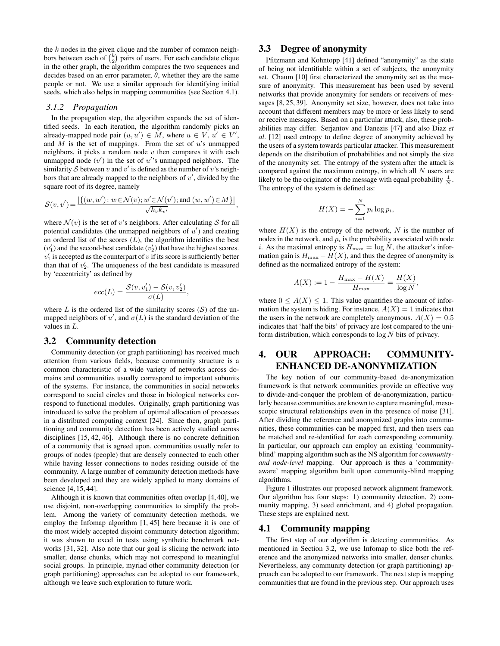the  $k$  nodes in the given clique and the number of common neighbors between each of  $\binom{k}{2}$  pairs of users. For each candidate clique in the other graph, the algorithm compares the two sequences and decides based on an error parameter,  $\theta$ , whether they are the same people or not. We use a similar approach for identifying initial seeds, which also helps in mapping communities (see Section [4.1\)](#page-2-0).

#### *3.1.2 Propagation*

In the propagation step, the algorithm expands the set of identified seeds. In each iteration, the algorithm randomly picks an already-mapped node pair  $(u, u') \in M$ , where  $u \in V$ ,  $u' \in V'$ , and  $M$  is the set of mappings. From the set of  $u$ 's unmapped neighbors, it picks a random node  $v$  then compares it with each unmapped node  $(v')$  in the set of  $u'$ 's unmapped neighbors. The similarity S between v and v' is defined as the number of v's neighbors that are already mapped to the neighbors of  $v'$ , divided by the square root of its degree, namely

$$
\mathcal{S}(v,v')\!=\!\frac{|\{(w,w')\colon\! w\!\in\!\mathcal{N}(v); w'\!\in\!\mathcal{N}(v'); \text{and}~(w,w')\!\in\!M\}|}{\sqrt{k_vk_{v'}}},
$$

where  $\mathcal{N}(v)$  is the set of v's neighbors. After calculating S for all potential candidates (the unmapped neighbors of  $u'$ ) and creating an ordered list of the scores  $(L)$ , the algorithm identifies the best  $(v'_1)$  and the second-best candidate  $(v'_2)$  that have the highest scores.  $v_1'$  is accepted as the counterpart of v if its score is sufficiently better than that of  $v_2'$ . The uniqueness of the best candidate is measured by 'eccentricity' as defined by

$$
ecc(L) = \frac{\mathcal{S}(v, v_1') - \mathcal{S}(v, v_2')}{\sigma(L)},
$$

where  $L$  is the ordered list of the similarity scores  $(S)$  of the unmapped neighbors of u', and  $\sigma(L)$  is the standard deviation of the values in L.

## <span id="page-2-1"></span>3.2 Community detection

Community detection (or graph partitioning) has received much attention from various fields, because community structure is a common characteristic of a wide variety of networks across domains and communities usually correspond to important subunits of the systems. For instance, the communities in social networks correspond to social circles and those in biological networks correspond to functional modules. Originally, graph partitioning was introduced to solve the problem of optimal allocation of processes in a distributed computing context [\[24\]](#page-10-9). Since then, graph partitioning and community detection has been actively studied across disciplines [\[15,](#page-10-5) [42,](#page-11-9) [46\]](#page-11-10). Although there is no concrete definition of a community that is agreed upon, communities usually refer to groups of nodes (people) that are densely connected to each other while having lesser connections to nodes residing outside of the community. A large number of community detection methods have been developed and they are widely applied to many domains of science [\[4,](#page-10-7) [15,](#page-10-5) [44\]](#page-11-11).

Although it is known that communities often overlap [\[4,](#page-10-7) [40\]](#page-11-5), we use disjoint, non-overlapping communities to simplify the problem. Among the variety of community detection methods, we employ the Infomap algorithm [\[1,](#page-10-10) [45\]](#page-11-6) here because it is one of the most widely accepted disjoint community detection algorithm; it was shown to excel in tests using synthetic benchmark networks [\[31,](#page-11-12) [32\]](#page-11-13). Also note that our goal is slicing the network into smaller, dense chunks, which may not correspond to meaningful social groups. In principle, myriad other community detection (or graph partitioning) approaches can be adopted to our framework, although we leave such exploration to future work.

# 3.3 Degree of anonymity

Pfitzmann and Kohntopp [\[41\]](#page-11-14) defined "anonymity" as the state of being not identifiable within a set of subjects, the anonymity set. Chaum [\[10\]](#page-10-11) first characterized the anonymity set as the measure of anonymity. This measurement has been used by several networks that provide anonymity for senders or receivers of messages [\[8,](#page-10-12) [25,](#page-10-13) [39\]](#page-11-15). Anonymity set size, however, does not take into account that different members may be more or less likely to send or receive messages. Based on a particular attack, also, these probabilities may differ. Serjantov and Danezis [\[47\]](#page-11-16) and also Diaz *et al*. [\[12\]](#page-10-14) used entropy to define degree of anonymity achieved by the users of a system towards particular attacker. This measurement depends on the distribution of probabilities and not simply the size of the anonymity set. The entropy of the system after the attack is compared against the maximum entropy, in which all  $N$  users are likely to be the originator of the message with equal probability  $\frac{1}{N}$ . The entropy of the system is defined as:

$$
H(X) = -\sum_{i=1}^{N} p_i \log p_i,
$$

where  $H(X)$  is the entropy of the network, N is the number of nodes in the network, and  $p_i$  is the probability associated with node i. As the maximal entropy is  $H_{\text{max}} = \log N$ , the attacker's information gain is  $H_{\text{max}} - H(X)$ , and thus the degree of anonymity is defined as the normalized entropy of the system:

$$
A(X) := 1 - \frac{H_{\text{max}} - H(X)}{H_{\text{max}}} = \frac{H(X)}{\log N},
$$

where  $0 \leq A(X) \leq 1$ . This value quantifies the amount of information the system is hiding. For instance,  $A(X) = 1$  indicates that the users in the network are completely anonymous.  $A(X) = 0.5$ indicates that 'half the bits' of privacy are lost compared to the uniform distribution, which corresponds to  $log N$  bits of privacy.

# 4. OUR APPROACH: COMMUNITY-ENHANCED DE-ANONYMIZATION

The key notion of our community-based de-anonymization framework is that network communities provide an effective way to divide-and-conquer the problem of de-anonymization, particularly because communities are known to capture meaningful, mesoscopic structural relationships even in the presence of noise [\[31\]](#page-11-12). After dividing the reference and anonymized graphs into communities, these communities can be mapped first, and then users can be matched and re-identified for each corresponding community. In particular, our approach can employ an existing 'communityblind' mapping algorithm such as the NS algorithm for *communityand node-level* mapping. Our approach is thus a 'communityaware' mapping algorithm built upon community-blind mapping algorithms.

Figure [1](#page-3-0) illustrates our proposed network alignment framework. Our algorithm has four steps: 1) community detection, 2) community mapping, 3) seed enrichment, and 4) global propagation. These steps are explained next.

### <span id="page-2-0"></span>4.1 Community mapping

The first step of our algorithm is detecting communities. As mentioned in Section [3.2,](#page-2-1) we use Infomap to slice both the reference and the anonymized networks into smaller, denser chunks. Nevertheless, any community detection (or graph partitioning) approach can be adopted to our framework. The next step is mapping communities that are found in the previous step. Our approach uses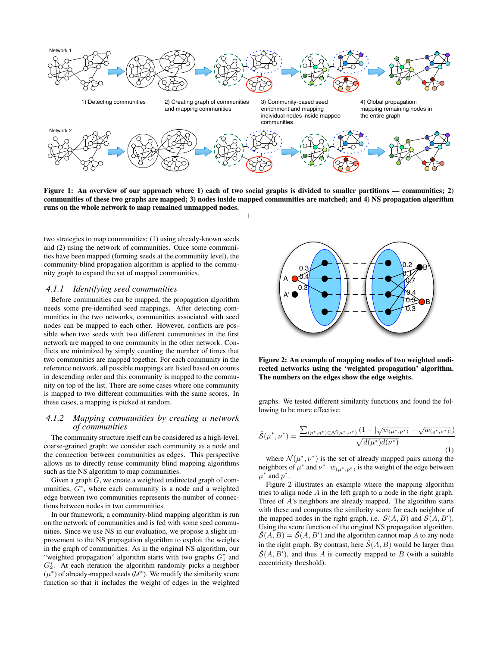

<span id="page-3-0"></span>Figure 1: An overview of our approach where 1) each of two social graphs is divided to smaller partitions — communities; 2) communities of these two graphs are mapped; 3) nodes inside mapped communities are matched; and 4) NS propagation algorithm runs on the whole network to map remained unmapped nodes.

[1](#page-3-0)

two strategies to map communities: (1) using already-known seeds and (2) using the network of communities. Once some communities have been mapped (forming seeds at the community level), the community-blind propagation algorithm is applied to the community graph to expand the set of mapped communities.

#### *4.1.1 Identifying seed communities*

Before communities can be mapped, the propagation algorithm needs some pre-identified seed mappings. After detecting communities in the two networks, communities associated with seed nodes can be mapped to each other. However, conflicts are possible when two seeds with two different communities in the first network are mapped to one community in the other network. Conflicts are minimized by simply counting the number of times that two communities are mapped together. For each community in the reference network, all possible mappings are listed based on counts in descending order and this community is mapped to the community on top of the list. There are some cases where one community is mapped to two different communities with the same scores. In these cases, a mapping is picked at random.

### *4.1.2 Mapping communities by creating a network of communities*

The community structure itself can be considered as a high-level, coarse-grained graph; we consider each community as a node and the connection between communities as edges. This perspective allows us to directly reuse community blind mapping algorithms such as the NS algorithm to map communities.

Given a graph  $G$ , we create a weighted undirected graph of communities,  $G^*$ , where each community is a node and a weighted edge between two communities represents the number of connections between nodes in two communities.

In our framework, a community-blind mapping algorithm is run on the network of communities and is fed with some seed communities. Since we use NS in our evaluation, we propose a slight improvement to the NS propagation algorithm to exploit the weights in the graph of communities. As in the original NS algorithm, our "weighted propagation" algorithm starts with two graphs  $G_1^*$  and  $G_2^*$ . At each iteration the algorithm randomly picks a neighbor  $(\mu^*)$  of already-mapped seeds  $(\mathcal{U}^*)$ . We modify the similarity score function so that it includes the weight of edges in the weighted



<span id="page-3-1"></span>Figure 2: An example of mapping nodes of two weighted undirected networks using the 'weighted propagation' algorithm. The numbers on the edges show the edge weights.

graphs. We tested different similarity functions and found the following to be more effective:

$$
\tilde{S}(\mu^*, \nu^*) = \frac{\sum_{(p^*, q^*) \in \mathcal{N}(\mu^*, \nu^*)} (1 - |\sqrt{w_{(\mu^*, p^*)}} - \sqrt{w_{(q^*, \nu^*)}}|)}{\sqrt{d(\mu^*) d(\nu^*)}} \tag{1}
$$

where  $\mathcal{N}(\mu^*, \nu^*)$  is the set of already mapped pairs among the neighbors of  $\mu^*$  and  $\nu^*$ .  $w_{(\mu^*, p^*)}$  is the weight of the edge between  $\mu^*$  and  $p^*$ .

Figure [2](#page-3-1) illustrates an example where the mapping algorithm tries to align node A in the left graph to a node in the right graph. Three of A's neighbors are already mapped. The algorithm starts with these and computes the similarity score for each neighbor of the mapped nodes in the right graph, i.e.  $\tilde{S}(A, B)$  and  $\tilde{S}(A, B')$ . Using the score function of the original NS propagation algorithm,  $\tilde{\mathcal{S}}(A, B) = \tilde{\mathcal{S}}(A, B')$  and the algorithm cannot map A to any node in the right graph. By contrast, here  $\tilde{\mathcal{S}}(A, B)$  would be larger than  $\tilde{\mathcal{S}}(A, B')$ , and thus A is correctly mapped to B (with a suitable eccentricity threshold).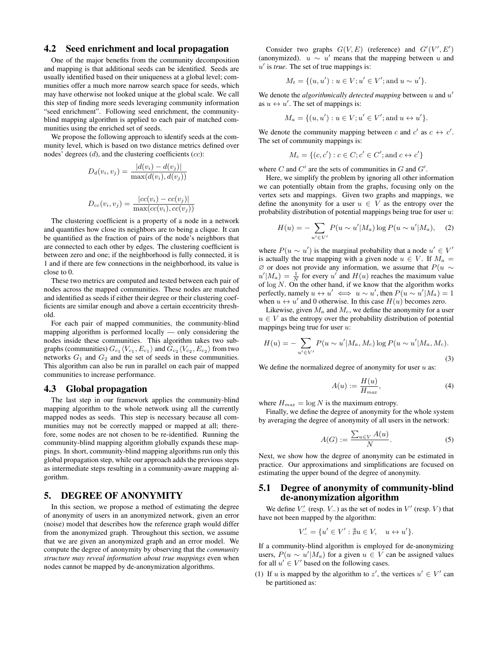## 4.2 Seed enrichment and local propagation

One of the major benefits from the community decomposition and mapping is that additional seeds can be identified. Seeds are usually identified based on their uniqueness at a global level; communities offer a much more narrow search space for seeds, which may have otherwise not looked unique at the global scale. We call this step of finding more seeds leveraging community information "seed enrichment". Following seed enrichment, the communityblind mapping algorithm is applied to each pair of matched communities using the enriched set of seeds.

We propose the following approach to identify seeds at the community level, which is based on two distance metrics defined over nodes' degrees  $(d)$ , and the clustering coefficients  $(cc)$ :

$$
D_d(v_i, v_j) = \frac{|d(v_i) - d(v_j)|}{\max(d(v_i), d(v_j))}
$$

$$
D_{cc}(v_i, v_j) = \frac{|cc(v_i) - cc(v_j)|}{\max(cc(v_i), cc(v_j))}
$$

The clustering coefficient is a property of a node in a network and quantifies how close its neighbors are to being a clique. It can be quantified as the fraction of pairs of the node's neighbors that are connected to each other by edges. The clustering coefficient is between zero and one; if the neighborhood is fully connected, it is 1 and if there are few connections in the neighborhood, its value is close to 0.

These two metrics are computed and tested between each pair of nodes across the mapped communities. These nodes are matched and identified as seeds if either their degree or their clustering coefficients are similar enough and above a certain eccentricity threshold.

For each pair of mapped communities, the community-blind mapping algorithm is performed locally — only considering the nodes inside these communities. This algorithm takes two subgraphs (communities)  $G_{c_1}\langle V_{c_1}, E_{c_1}\rangle$  and  $G_{c_2}\langle V_{c_2}, E_{c_2}\rangle$  from two networks  $G_1$  and  $G_2$  and the set of seeds in these communities. This algorithm can also be run in parallel on each pair of mapped communities to increase performance.

#### 4.3 Global propagation

The last step in our framework applies the community-blind mapping algorithm to the whole network using all the currently mapped nodes as seeds. This step is necessary because all communities may not be correctly mapped or mapped at all; therefore, some nodes are not chosen to be re-identified. Running the community-blind mapping algorithm globally expands these mappings. In short, community-blind mapping algorithms run only this global propagation step, while our approach adds the previous steps as intermediate steps resulting in a community-aware mapping algorithm.

# <span id="page-4-0"></span>5. DEGREE OF ANONYMITY

In this section, we propose a method of estimating the degree of anonymity of users in an anonymized network, given an error (noise) model that describes how the reference graph would differ from the anonymized graph. Throughout this section, we assume that we are given an anonymized graph and an error model. We compute the degree of anonymity by observing that the *community structure may reveal information about true mappings* even when nodes cannot be mapped by de-anonymization algorithms.

Consider two graphs  $G(V, E)$  (reference) and  $G'(V', E')$ (anonymized).  $u \sim u'$  means that the mapping between u and u' is *true*. The set of true mappings is:

$$
M_t = \{(u, u'): u \in V; u' \in V'; \text{and } u \sim u'\}.
$$

We denote the *algorithmically detected mapping* between  $u$  and  $u'$ as  $u \leftrightarrow u'$ . The set of mappings is:

$$
M_a = \{(u, u'): u \in V; u' \in V'; \text{and } u \leftrightarrow u'\}.
$$

We denote the community mapping between c and  $c'$  as  $c \leftrightarrow c'$ . The set of community mappings is:

$$
M_c = \{(c, c'): c \in C; c' \in C'; \text{and } c \leftrightarrow c'\}
$$

where C and  $C'$  are the sets of communities in G and  $G'$ .

Here, we simplify the problem by ignoring all other information we can potentially obtain from the graphs, focusing only on the vertex sets and mappings. Given two graphs and mappings, we define the anonymity for a user  $u \in V$  as the entropy over the probability distribution of potential mappings being true for user  $u$ :

$$
H(u) = -\sum_{u' \in V'} P(u \sim u'|M_a) \log P(u \sim u'|M_a), \quad (2)
$$

where  $P(u \sim u')$  is the marginal probability that a node  $u' \in V'$ is actually the true mapping with a given node  $u \in V$ . If  $M_a =$  $\emptyset$  or does not provide any information, we assume that  $P(u \sim$  $u'|M_a) = \frac{1}{N}$  for every u' and  $H(u)$  reaches the maximum value of  $\log N$ . On the other hand, if we know that the algorithm works perfectly, namely  $u \leftrightarrow u' \iff u \sim u'$ , then  $P(u \sim u'|M_a) = 1$ when  $u \leftrightarrow u'$  and 0 otherwise. In this case  $H(u)$  becomes zero.

Likewise, given  $M_a$  and  $M_c$ , we define the anonymity for a user  $u \in V$  as the entropy over the probability distribution of potential mappings being true for user  $u$ :

$$
H(u) = -\sum_{u' \in V'} P(u \sim u'|M_a, M_c) \log P(u \sim u'|M_a, M_c).
$$
\n(3)

We define the normalized degree of anonymity for user  $u$  as:

$$
A(u) := \frac{H(u)}{H_{max}},\tag{4}
$$

where  $H_{max} = \log N$  is the maximum entropy.

Finally, we define the degree of anonymity for the whole system by averaging the degree of anonymity of all users in the network:

$$
A(G) := \frac{\sum_{u \in V} A(u)}{N}.
$$
 (5)

Next, we show how the degree of anonymity can be estimated in practice. Our approximations and simplifications are focused on estimating the upper bound of the degree of anonymity.

# 5.1 Degree of anonymity of community-blind de-anonymization algorithm

We define  $V'_{-}$  (resp.  $V_{-}$ ) as the set of nodes in  $V'$  (resp. V) that have not been mapped by the algorithm:

$$
V'_{-} = \{u' \in V' : \nexists u \in V, \quad u \leftrightarrow u'\}.
$$

If a community-blind algorithm is employed for de-anonymizing users,  $P(u \sim u'|M_a)$  for a given  $u \in V$  can be assigned values for all  $u' \in V'$  based on the following cases.

(1) If u is mapped by the algorithm to z', the vertices  $u' \in V'$  can be partitioned as: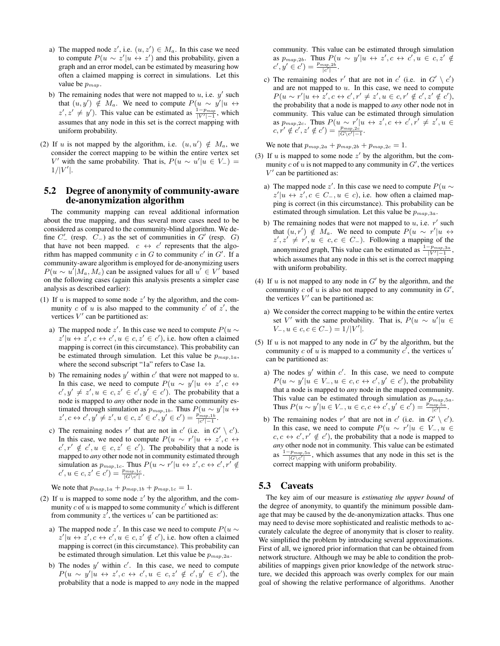- a) The mapped node z', i.e.  $(u, z') \in M_a$ . In this case we need to compute  $P(u \sim z'|u \leftrightarrow z')$  and this probability, given a graph and an error model, can be estimated by measuring how often a claimed mapping is correct in simulations. Let this value be  $p_{map}$ .
- b) The remaining nodes that were not mapped to  $u$ , i.e.  $y'$  such that  $(u, y') \notin M_a$ . We need to compute  $P(u \sim y'|u \leftrightarrow u')$  $z', z' \neq y'$ ). This value can be estimated as  $\frac{1-p_{map}}{|V'|-1}$ , which assumes that any node in this set is the correct mapping with uniform probability.
- (2) If u is not mapped by the algorithm, i.e.  $(u, u') \notin M_a$ , we consider the correct mapping to be within the entire vertex set V' with the same probability. That is,  $P(u \sim u'|u \in V_-) =$  $1/|V'|$ .

# <span id="page-5-0"></span>5.2 Degree of anonymity of community-aware de-anonymization algorithm

The community mapping can reveal additional information about the true mapping, and thus several more cases need to be considered as compared to the community-blind algorithm. We define  $C'_{-}$  (resp.  $C_{-}$ ) as the set of communities in  $G'$  (resp.  $G$ ) that have not been mapped.  $c \leftrightarrow c'$  represents that the algorithm has mapped community  $c$  in  $G$  to community  $c'$  in  $G'$ . If a community-aware algorithm is employed for de-anonymizing users  $P(u \sim u'|M_a, M_c)$  can be assigned values for all  $u' \in V'$  based on the following cases (again this analysis presents a simpler case analysis as described earlier):

- (1) If  $u$  is mapped to some node  $z'$  by the algorithm, and the community c of u is also mapped to the community  $c'$  of  $z'$ , the vertices  $V'$  can be partitioned as:
	- a) The mapped node z'. In this case we need to compute  $P(u \sim$  $z'|u \leftrightarrow z', c \leftrightarrow c', u \in c, z' \in c'$ ), i.e. how often a claimed mapping is correct (in this circumstance). This probability can be estimated through simulation. Let this value be  $p_{map,1a}$ , where the second subscript "1a" refers to Case 1a.
	- b) The remaining nodes  $y'$  within  $c'$  that were not mapped to  $u$ . In this case, we need to compute  $P(u \sim y'|u \leftrightarrow z', c \leftrightarrow$  $c', y' \neq z', u \in c, z' \in c', y' \in c'$ ). The probability that a node is mapped to *any* other node in the same community estimated through simulation as  $p_{map,1b}$ . Thus  $P(u \sim y'|u \leftrightarrow$  $z', c \leftrightarrow c', y' \neq z', u \in c, z' \in c', y' \in c') = \frac{p_{map,1b}^{(1)}}{|c'| - 1}.$
	- c) The remaining nodes r' that are not in c' (i.e. in  $G' \setminus c'$ ). In this case, we need to compute  $P(u \sim r'|u \leftrightarrow z', c \leftrightarrow$  $c', r' \notin c', u \in c, z' \in c'$ ). The probability that a node is mapped to *any* other node not in community estimated through simulation as  $p_{map,1c}$ . Thus  $P(u \sim r'| u \leftrightarrow z', c \leftrightarrow c', r' \notin$  $c', u \in c, z' \in c'$ ) =  $\frac{p_{map,1c}}{|G \setminus c'|}$ .

We note that  $p_{map,1a} + p_{map,1b} + p_{map,1c} = 1$ .

- (2) If  $u$  is mapped to some node  $z'$  by the algorithm, and the community  $c$  of  $u$  is mapped to some community  $c'$  which is different from community  $z^{\prime}$ , the vertices  $u^{\prime}$  can be partitioned as:
	- a) The mapped node z'. In this case we need to compute  $P(u \sim$  $z'|u \leftrightarrow z', c \leftrightarrow c', u \in c, z' \notin c'$ ), i.e. how often a claimed mapping is correct (in this circumstance). This probability can be estimated through simulation. Let this value be  $p_{map,2a}$ .
	- b) The nodes  $y'$  within  $c'$ . In this case, we need to compute  $P(u \sim y'|u \leftrightarrow z', c \leftrightarrow c', u \in c, z' \notin c', y' \in c')$ , the probability that a node is mapped to *any* node in the mapped

community. This value can be estimated through simulation as  $p_{map,2b}$ . Thus  $P(u \sim y'|u \leftrightarrow z', c \leftrightarrow c', u \in c, z' \notin \mathcal{L}$  $c', y' \in c'$ ) =  $\frac{p_{map,2b}}{|c'|}$ .

c) The remaining nodes r' that are not in c' (i.e. in  $G' \setminus c'$ ) and are not mapped to  $u$ . In this case, we need to compute  $P(u \sim r'|u \leftrightarrow z', c \leftrightarrow c', r' \neq z', u \in c, r' \notin c', z' \notin c'),$ the probability that a node is mapped to *any* other node not in community. This value can be estimated through simulation as  $p_{map,2c}$ . Thus  $P(u \sim r'|u \leftrightarrow z', c \leftrightarrow c', r' \neq z', u \in$  $c, r' \notin c', z' \notin c'$ ) =  $\frac{p_{map,2c}}{|G\setminus c'|-1}.$ 

We note that  $p_{map,2a} + p_{map,2b} + p_{map,2c} = 1$ .

- (3) If  $u$  is mapped to some node  $z'$  by the algorithm, but the community  $c$  of  $u$  is not mapped to any community in  $G'$ , the vertices  $V'$  can be partitioned as:
	- a) The mapped node z'. In this case we need to compute  $P(u \sim$  $z'|u \leftrightarrow z', c \in C_-, u \in c$ , i.e. how often a claimed mapping is correct (in this circumstance). This probability can be estimated through simulation. Let this value be  $p_{map,3a}$ .
	- b) The remaining nodes that were not mapped to  $u$ , i.e.  $r'$  such that  $(u, r') \notin M_a$ . We need to compute  $P(u \sim r'|u \leftrightarrow$  $z', z' \neq r', u \in c, c \in C_-\$ . Following a mapping of the anonymized graph, This value can be estimated as  $\frac{1-p_{map,3a}}{|V'|-1}$ , which assumes that any node in this set is the correct mapping with uniform probability.
- (4) If  $u$  is not mapped to any node in  $G'$  by the algorithm, and the community  $c$  of  $u$  is also not mapped to any community in  $G'$ , the vertices  $V'$  can be partitioned as:
	- a) We consider the correct mapping to be within the entire vertex set V' with the same probability. That is,  $P(u \sim u'|u \in$  $V_-, u \in c, c \in C_-\} = 1/|V'|.$
- (5) If  $u$  is not mapped to any node in  $G'$  by the algorithm, but the community c of u is mapped to a community  $c'$ , the vertices  $u'$ can be partitioned as:
	- a) The nodes  $y'$  within  $c'$ . In this case, we need to compute  $P(u \sim y'| u \in V_-, u \in c, c \leftrightarrow c', y' \in c')$ , the probability that a node is mapped to *any* node in the mapped community. This value can be estimated through simulation as  $p_{map,5a}$ . Thus  $P(u \sim y'| u \in V_-, u \in c, c \leftrightarrow c', y' \in c') = \frac{p_{map,5a}}{|c'|}.$
	- b) The remaining nodes r' that are not in c' (i.e. in  $G' \setminus c'$ ). In this case, we need to compute  $P(u \sim r'|u \in V_-, u \in$  $c, c \leftrightarrow c', r' \notin c'$ , the probability that a node is mapped to *any* other node not in community. This value can be estimated as  $\frac{1-p_{map,5a}}{|G\setminus c'|}$ , which assumes that any node in this set is the correct mapping with uniform probability.

## 5.3 Caveats

The key aim of our measure is *estimating the upper bound* of the degree of anonymity, to quantify the minimum possible damage that may be caused by the de-anonymization attacks. Thus one may need to devise more sophisticated and realistic methods to accurately calculate the degree of anonymity that is closer to reality. We simplified the problem by introducing several approximations. First of all, we ignored prior information that can be obtained from network structure. Although we may be able to condition the probabilities of mappings given prior knowledge of the network structure, we decided this approach was overly complex for our main goal of showing the relative performance of algorithms. Another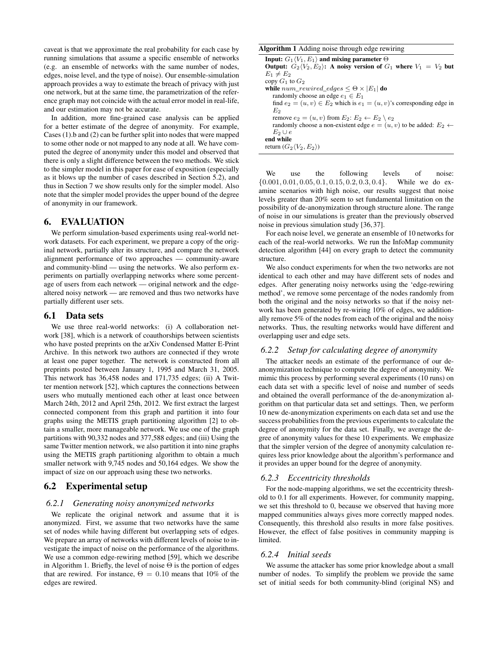caveat is that we approximate the real probability for each case by running simulations that assume a specific ensemble of networks (e.g. an ensemble of networks with the same number of nodes, edges, noise level, and the type of noise). Our ensemble-simulation approach provides a way to estimate the breach of privacy with just one network, but at the same time, the parametrization of the reference graph may not coincide with the actual error model in real-life, and our estimation may not be accurate.

In addition, more fine-grained case analysis can be applied for a better estimate of the degree of anonymity. For example, Cases (1).b and (2) can be further split into nodes that were mapped to some other node or not mapped to any node at all. We have computed the degree of anonymity under this model and observed that there is only a slight difference between the two methods. We stick to the simpler model in this paper for ease of exposition (especially as it blows up the number of cases described in Section [5.2\)](#page-5-0), and thus in Section [7](#page-7-0) we show results only for the simpler model. Also note that the simpler model provides the upper bound of the degree of anonymity in our framework.

## 6. EVALUATION

We perform simulation-based experiments using real-world network datasets. For each experiment, we prepare a copy of the original network, partially alter its structure, and compare the network alignment performance of two approaches — community-aware and community-blind — using the networks. We also perform experiments on partially overlapping networks where some percentage of users from each network — original network and the edgealtered noisy network — are removed and thus two networks have partially different user sets.

### 6.1 Data sets

We use three real-world networks: (i) A collaboration network [\[38\]](#page-11-17), which is a network of coauthorships between scientists who have posted preprints on the arXiv Condensed Matter E-Print Archive. In this network two authors are connected if they wrote at least one paper together. The network is constructed from all preprints posted between January 1, 1995 and March 31, 2005. This network has 36,458 nodes and 171,735 edges; (ii) A Twitter mention network [\[52\]](#page-11-18), which captures the connections between users who mutually mentioned each other at least once between March 24th, 2012 and April 25th, 2012. We first extract the largest connected component from this graph and partition it into four graphs using the METIS graph partitioning algorithm [\[2\]](#page-10-15) to obtain a smaller, more manageable network. We use one of the graph partitions with 90,332 nodes and 377,588 edges; and (iii) Using the same Twitter mention network, we also partition it into nine graphs using the METIS graph partitioning algorithm to obtain a much smaller network with 9,745 nodes and 50,164 edges. We show the impact of size on our approach using these two networks.

# <span id="page-6-0"></span>6.2 Experimental setup

#### *6.2.1 Generating noisy anonymized networks*

We replicate the original network and assume that it is anonymized. First, we assume that two networks have the same set of nodes while having different but overlapping sets of edges. We prepare an array of networks with different levels of noise to investigate the impact of noise on the performance of the algorithms. We use a common edge-rewiring method [\[59\]](#page-11-19), which we describe in Algorithm [1.](#page-6-1) Briefly, the level of noise  $\Theta$  is the portion of edges that are rewired. For instance,  $\Theta = 0.10$  means that 10% of the edges are rewired.

| <b>Algorithm 1</b> Adding noise through edge rewiring                                   |
|-----------------------------------------------------------------------------------------|
| Input: $G_1 \langle V_1, E_1 \rangle$ and mixing parameter $\Theta$                     |
| Output: $G_2 \langle V_2, E_2 \rangle$ : A noisy version of $G_1$ where $V_1 = V_2$ but |
| $E_1 \neq E_2$                                                                          |
| copy $G_1$ to $G_2$                                                                     |
| while $num\_rewired\_edges \leq \Theta \times  E_1 $ do                                 |
| randomly choose an edge $e_1 \in E_1$                                                   |
| find $e_2 = (u, v) \in E_2$ which is $e_1 = (u, v)$ 's corresponding edge in            |
| Eэ                                                                                      |
| remove $e_2 = (u, v)$ from $E_2$ : $E_2 \leftarrow E_2 \setminus e_2$                   |
| randomly choose a non-existent edge $e = (u, v)$ to be added: $E_2 \leftarrow$          |
| $E_2 \cup e$                                                                            |
| end while                                                                               |
| return $(G_2\langle V_2, E_2\rangle)$                                                   |

<span id="page-6-1"></span>We use the following levels of noise:  $\{0.001, 0.01, 0.05, 0.1, 0.15, 0.2, 0.3, 0.4\}$ . While we do examine scenarios with high noise, our results suggest that noise levels greater than 20% seem to set fundamental limitation on the possibility of de-anonymization through structure alone. The range of noise in our simulations is greater than the previously observed noise in previous simulation study [\[36,](#page-11-4) [37\]](#page-11-0).

For each noise level, we generate an ensemble of 10 networks for each of the real-world networks. We run the InfoMap community detection algorithm [\[44\]](#page-11-11) on every graph to detect the community structure.

We also conduct experiments for when the two networks are not identical to each other and may have different sets of nodes and edges. After generating noisy networks using the 'edge-rewiring method', we remove some percentage of the nodes randomly from both the original and the noisy networks so that if the noisy network has been generated by re-wiring 10% of edges, we additionally remove 5% of the nodes from each of the original and the noisy networks. Thus, the resulting networks would have different and overlapping user and edge sets.

#### *6.2.2 Setup for calculating degree of anonymity*

The attacker needs an estimate of the performance of our deanonymization technique to compute the degree of anonymity. We mimic this process by performing several experiments (10 runs) on each data set with a specific level of noise and number of seeds and obtained the overall performance of the de-anonymization algorithm on that particular data set and settings. Then, we perform 10 new de-anonymization experiments on each data set and use the success probabilities from the previous experiments to calculate the degree of anonymity for the data set. Finally, we average the degree of anonymity values for these 10 experiments. We emphasize that the simpler version of the degree of anonymity calculation requires less prior knowledge about the algorithm's performance and it provides an upper bound for the degree of anonymity.

### *6.2.3 Eccentricity thresholds*

For the node-mapping algorithms, we set the eccentricity threshold to 0.1 for all experiments. However, for community mapping, we set this threshold to 0, because we observed that having more mapped communities always gives more correctly mapped nodes. Consequently, this threshold also results in more false positives. However, the effect of false positives in community mapping is limited.

# *6.2.4 Initial seeds*

We assume the attacker has some prior knowledge about a small number of nodes. To simplify the problem we provide the same set of initial seeds for both community-blind (original NS) and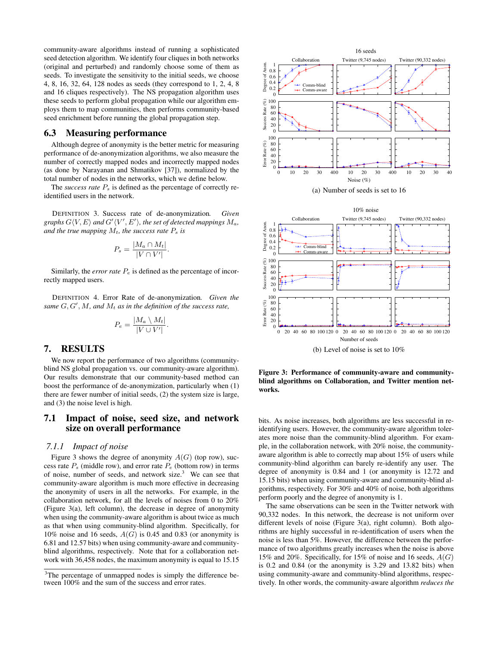community-aware algorithms instead of running a sophisticated seed detection algorithm. We identify four cliques in both networks (original and perturbed) and randomly choose some of them as seeds. To investigate the sensitivity to the initial seeds, we choose 4, 8, 16, 32, 64, 128 nodes as seeds (they correspond to 1, 2, 4, 8 and 16 cliques respectively). The NS propagation algorithm uses these seeds to perform global propagation while our algorithm employs them to map communities, then performs community-based seed enrichment before running the global propagation step.

## 6.3 Measuring performance

Although degree of anonymity is the better metric for measuring performance of de-anonymization algorithms, we also measure the number of correctly mapped nodes and incorrectly mapped nodes (as done by Narayanan and Shmatikov [\[37\]](#page-11-0)), normalized by the total number of nodes in the networks, which we define below.

The *success rate*  $P_s$  is defined as the percentage of correctly reidentified users in the network.

DEFINITION 3. Success rate of de-anonymization*. Given* graphs  $G\langle V, E\rangle$  and  $G'\langle V', E'\rangle$ , the set of detected mappings  $M_a$ , and the true mapping  $M_t$ , the success rate  $P_s$  is

$$
P_s = \frac{|M_a \cap M_t|}{|V \cap V'|}.
$$

Similarly, the *error rate*  $P_e$  is defined as the percentage of incorrectly mapped users.

DEFINITION 4. Error Rate of de-anonymization*. Given the* same  $G, G', M$ , and  $M_t$  as in the definition of the success rate,

$$
P_e = \frac{|M_a \setminus M_t|}{|V \cup V'|}.
$$

# <span id="page-7-0"></span>7. RESULTS

We now report the performance of two algorithms (communityblind NS global propagation vs. our community-aware algorithm). Our results demonstrate that our community-based method can boost the performance of de-anonymization, particularly when (1) there are fewer number of initial seeds, (2) the system size is large, and (3) the noise level is high.

# 7.1 Impact of noise, seed size, and network size on overall performance

#### *7.1.1 Impact of noise*

Figure [3](#page-7-1) shows the degree of anonymity  $A(G)$  (top row), success rate  $P_s$  (middle row), and error rate  $P_e$  (bottom row) in terms of noise, number of seeds, and network size. $3$  We can see that community-aware algorithm is much more effective in decreasing the anonymity of users in all the networks. For example, in the collaboration network, for all the levels of noises from 0 to 20% (Figure [3\(a\),](#page-7-3) left column), the decrease in degree of anonymity when using the community-aware algorithm is about twice as much as that when using community-blind algorithm. Specifically, for 10% noise and 16 seeds,  $A(G)$  is 0.45 and 0.83 (or anonymity is 6.81 and 12.57 bits) when using community-aware and communityblind algorithms, respectively. Note that for a collaboration network with 36,458 nodes, the maximum anonymity is equal to 15.15

<span id="page-7-3"></span>



<span id="page-7-1"></span>

<span id="page-7-4"></span>Figure 3: Performance of community-aware and communityblind algorithms on Collaboration, and Twitter mention networks.

bits. As noise increases, both algorithms are less successful in reidentifying users. However, the community-aware algorithm tolerates more noise than the community-blind algorithm. For example, in the collaboration network, with 20% noise, the communityaware algorithm is able to correctly map about 15% of users while community-blind algorithm can barely re-identify any user. The degree of anonymity is 0.84 and 1 (or anonymity is 12.72 and 15.15 bits) when using community-aware and community-blind algorithms, respectively. For 30% and 40% of noise, both algorithms perform poorly and the degree of anonymity is 1.

The same observations can be seen in the Twitter network with 90,332 nodes. In this network, the decrease is not uniform over different levels of noise (Figure [3\(a\),](#page-7-3) right column). Both algorithms are highly successful in re-identification of users when the noise is less than 5%. However, the difference between the performance of two algorithms greatly increases when the noise is above 15% and 20%. Specifically, for 15% of noise and 16 seeds,  $A(G)$ is 0.2 and 0.84 (or the anonymity is 3.29 and 13.82 bits) when using community-aware and community-blind algorithms, respectively. In other words, the community-aware algorithm *reduces the*

<span id="page-7-2"></span><sup>&</sup>lt;sup>3</sup>The percentage of unmapped nodes is simply the difference between 100% and the sum of the success and error rates.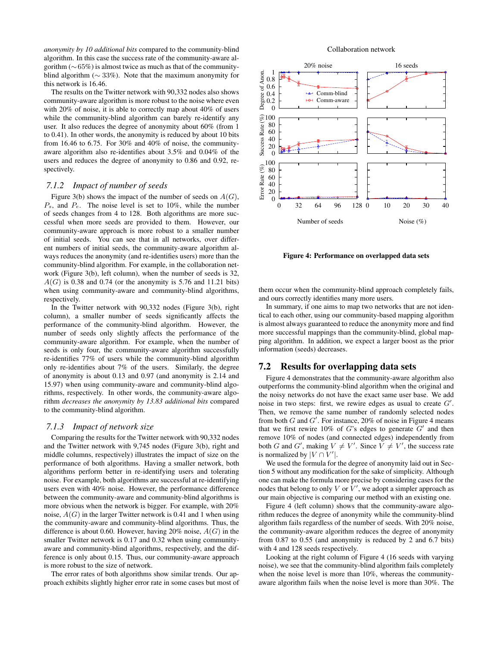*anonymity by 10 additional bits* compared to the community-blind algorithm. In this case the success rate of the community-aware algorithm (∼65%) is almost twice as much as that of the communityblind algorithm ( $\sim$  33%). Note that the maximum anonymity for this network is 16.46.

The results on the Twitter network with 90,332 nodes also shows community-aware algorithm is more robust to the noise where even with 20% of noise, it is able to correctly map about 40% of users while the community-blind algorithm can barely re-identify any user. It also reduces the degree of anonymity about 60% (from 1 to 0.41). In other words, the anonymity is reduced by about 10 bits from 16.46 to 6.75. For 30% and 40% of noise, the communityaware algorithm also re-identifies about 3.5% and 0.04% of the users and reduces the degree of anonymity to 0.86 and 0.92, respectively.

# *7.1.2 Impact of number of seeds*

Figure [3\(b\)](#page-7-4) shows the impact of the number of seeds on  $A(G)$ ,  $P_s$ , and  $P_e$ . The noise level is set to 10%, while the number of seeds changes from 4 to 128. Both algorithms are more successful when more seeds are provided to them. However, our community-aware approach is more robust to a smaller number of initial seeds. You can see that in all networks, over different numbers of initial seeds, the community-aware algorithm always reduces the anonymity (and re-identifies users) more than the community-blind algorithm. For example, in the collaboration network (Figure [3\(b\),](#page-7-4) left column), when the number of seeds is 32,  $A(G)$  is 0.38 and 0.74 (or the anonymity is 5.76 and 11.21 bits) when using community-aware and community-blind algorithms, respectively.

In the Twitter network with 90,332 nodes (Figure [3\(b\),](#page-7-4) right column), a smaller number of seeds significantly affects the performance of the community-blind algorithm. However, the number of seeds only slightly affects the performance of the community-aware algorithm. For example, when the number of seeds is only four, the community-aware algorithm successfully re-identifies 77% of users while the community-blind algorithm only re-identifies about 7% of the users. Similarly, the degree of anonymity is about 0.13 and 0.97 (and anonymity is 2.14 and 15.97) when using community-aware and community-blind algorithms, respectively. In other words, the community-aware algorithm *decreases the anonymity by 13.83 additional bits* compared to the community-blind algorithm.

### *7.1.3 Impact of network size*

Comparing the results for the Twitter network with 90,332 nodes and the Twitter network with 9,745 nodes (Figure [3\(b\),](#page-7-4) right and middle columns, respectively) illustrates the impact of size on the performance of both algorithms. Having a smaller network, both algorithms perform better in re-identifying users and tolerating noise. For example, both algorithms are successful at re-identifying users even with 40% noise. However, the performance difference between the community-aware and community-blind algorithms is more obvious when the network is bigger. For example, with 20% noise,  $A(G)$  in the larger Twitter network is 0.41 and 1 when using the community-aware and community-blind algorithms. Thus, the difference is about 0.60. However, having 20% noise,  $A(G)$  in the smaller Twitter network is 0.17 and 0.32 when using communityaware and community-blind algorithms, respectively, and the difference is only about 0.15. Thus, our community-aware approach is more robust to the size of network.

The error rates of both algorithms show similar trends. Our approach exhibits slightly higher error rate in some cases but most of

#### Collaboration network



<span id="page-8-0"></span>Figure 4: Performance on overlapped data sets

them occur when the community-blind approach completely fails, and ours correctly identifies many more users.

In summary, if one aims to map two networks that are not identical to each other, using our community-based mapping algorithm is almost always guaranteed to reduce the anonymity more and find more successful mappings than the community-blind, global mapping algorithm. In addition, we expect a larger boost as the prior information (seeds) decreases.

# 7.2 Results for overlapping data sets

Figure [4](#page-8-0) demonstrates that the community-aware algorithm also outperforms the community-blind algorithm when the original and the noisy networks do not have the exact same user base. We add noise in two steps: first, we rewire edges as usual to create  $G'$ . Then, we remove the same number of randomly selected nodes from both  $G$  and  $G'$ . For instance, 20% of noise in Figure [4](#page-8-0) means that we first rewire 10% of  $G$ 's edges to generate  $G'$  and then remove 10% of nodes (and connected edges) independently from both G and G', making  $V \neq V'$ . Since  $\overline{V} \neq V'$ , the success rate is normalized by  $|V \cap V'|$ .

We used the formula for the degree of anonymity laid out in Section [5](#page-4-0) without any modification for the sake of simplicity. Although one can make the formula more precise by considering cases for the nodes that belong to only V or  $\bar{V}'$ , we adopt a simpler approach as our main objective is comparing our method with an existing one.

Figure [4](#page-8-0) (left column) shows that the community-aware algorithm reduces the degree of anonymity while the community-blind algorithm fails regardless of the number of seeds. With 20% noise, the community-aware algorithm reduces the degree of anonymity from 0.87 to 0.55 (and anonymity is reduced by 2 and 6.7 bits) with 4 and 128 seeds respectively.

Looking at the right column of Figure [4](#page-8-0) (16 seeds with varying noise), we see that the community-blind algorithm fails completely when the noise level is more than 10%, whereas the communityaware algorithm fails when the noise level is more than 30%. The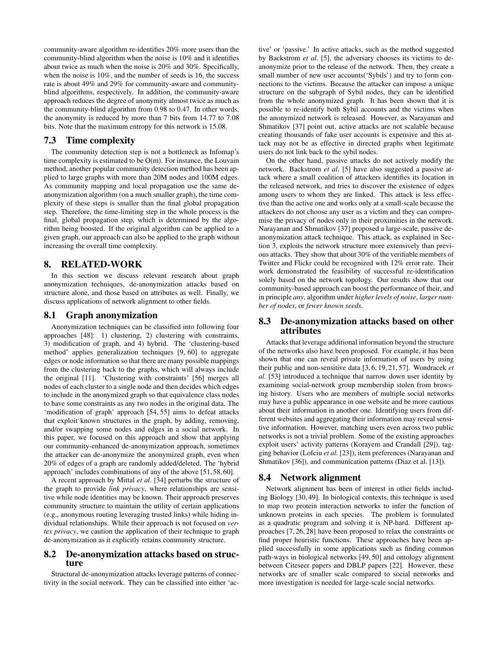community-aware algorithm re-identifies 20% more users than the community-blind algorithm when the noise is 10% and it identifies about twice as much when the noise is 20% and 30%. Specifically, when the noise is 10%, and the number of seeds is 16, the success rate is about 49% and 29% for community-aware and communityblind algorithms, respectively. In addition, the community-aware approach reduces the degree of anonymity almost twice as much as the community-blind algorithm from 0.98 to 0.47. In other words, the anonymity is reduced by more than 7 bits from 14.77 to 7.08 bits. Note that the maximum entropy for this network is 15.08.

## 7.3 Time complexity

The community detection step is not a bottleneck as Infomap's time complexity is estimated to be O(m). For instance, the Louvain method, another popular community detection method has been applied to large graphs with more than 20M nodes and 100M edges. As community mapping and local propagation use the same deanonymization algorithm (on a much smaller graph), the time complexity of these steps is smaller than the final global propagation step. Therefore, the time-limiting step in the whole process is the final, global propagation step, which is determined by the algorithm being boosted. If the original algorithm can be applied to a given graph, our approach can also be applied to the graph without increasing the overall time complexity.

# 8. RELATED-WORK

In this section we discuss relevant research about graph anonymization techniques, de-anonymization attacks based on structure alone, and those based on attributes as well. Finally, we discuss applications of network alignment to other fields.

## 8.1 Graph anonymization

Anonymization techniques can be classified into following four approaches [\[48\]](#page-11-20): 1) clustering, 2) clustering with constraints, 3) modification of graph, and 4) hybrid. The 'clustering-based method' applies generalization techniques [\[9,](#page-10-16) [60\]](#page-11-21) to aggregate edges or node information so that there are many possible mappings from the clustering back to the graphs, which will always include the original [\[11\]](#page-10-17). 'Clustering with constraints' [\[56\]](#page-11-22) merges all nodes of each cluster to a single node and then decides which edges to include in the anonymized graph so that equivalence class nodes to have some constraints as any two nodes in the original data. The 'modification of graph' approach [\[54,](#page-11-23) [55\]](#page-11-24) aims to defeat attacks that exploit known structures in the graph, by adding, removing, and/or swapping some nodes and edges in a social network. In this paper, we focused on this approach and show that applying our community-enhanced de-anonymization approach, sometimes the attacker can de-anonymize the anonymized graph, even when 20% of edges of a graph are randomly added/deleted. The 'hybrid approach' includes combinations of any of the above [\[51,](#page-11-25) [58,](#page-11-26) [60\]](#page-11-21).

A recent approach by Mittal *et al*. [\[34\]](#page-11-27) perturbs the structure of the graph to provide *link privacy*, where relationships are sensitive while node identities may be known. Their approach preserves community structure to maintain the utility of certain applications (e.g., anonymous routing leveraging trusted links) while hiding individual relationships. While their approach is not focused on *vertex privacy*, we caution the application of their technique to graph de-anonymization as it explicitly retains community structure.

## 8.2 De-anonymization attacks based on structure

Structural de-anonymization attacks leverage patterns of connectivity in the social network. They can be classified into either 'active' or 'passive.' In active attacks, such as the method suggested by Backstrom *et al*. [\[5\]](#page-10-2), the adversary chooses its victims to deanonymize prior to the release of the network. Then, they create a small number of new user accounts('Sybils') and try to form connections to the victims. Because the attacker can impose a unique structure on the subgraph of Sybil nodes, they can be identified from the whole anonymized graph. It has been shown that it is possible to re-identify both Sybil accounts and the victims when the anonymized network is released. However, as Narayanan and Shmatikov [\[37\]](#page-11-0) point out, active attacks are not scalable because creating thousands of fake user accounts is expensive and this attack may not be as effective in directed graphs when legitimate users do not link back to the sybil nodes.

On the other hand, passive attacks do not actively modify the network. Backstrom *et al*. [\[5\]](#page-10-2) have also suggested a passive attack where a small coalition of attackers identifies its location in the released network, and tries to discover the existence of edges among users to whom they are linked. This attack is less effective than the active one and works only at a small-scale because the attackers do not choose any user as a victim and they can compromise the privacy of nodes only in their proximities in the network. Narayanan and Shmatikov [\[37\]](#page-11-0) proposed a large-scale, passive deanonymization attack technique. This attack, as explained in Section [3,](#page-1-2) exploits the network structure more extensively than previous attacks. They show that about 30% of the verifiable members of Twitter and Flickr could be recognized with 12% error rate. Their work demonstrated the feasibility of successful re-identification solely based on the network topology. Our results show that our community-based approach can boost the performance of their, and in principle *any*, algorithm under *higher levels of noise*, *larger number of nodes*, or *fewer known seeds*.

## 8.3 De-anonymization attacks based on other attributes

Attacks that leverage additional information beyond the structure of the networks also have been proposed. For example, it has been shown that one can reveal private information of users by using their public and non-sensitive data [\[3,](#page-10-18) [6,](#page-10-19) [19,](#page-10-20) [21,](#page-10-21) [57\]](#page-11-28). Wondracek *et al*. [\[53\]](#page-11-2) introduced a technique that narrow down user identity by examining social-network group membership stolen from browsing history. Users who are members of multiple social networks may have a public appearance in one website and be more cautious about their information in another one. Identifying users from different websites and aggregating their information may reveal sensitive information. However, matching users even across two public networks is not a trivial problem. Some of the existing approaches exploit users' activity patterns (Korayem and Crandall [\[29\]](#page-11-3)), tagging behavior (Lofciu *et al*. [\[23\]](#page-10-22)), item preferences (Narayanan and Shmatikov [\[36\]](#page-11-4)), and communication patterns (Diaz et al. [\[13\]](#page-10-23)).

## 8.4 Network alignment

Network alignment has been of interest in other fields including Biology [\[30,](#page-11-29) [49\]](#page-11-30). In biological contexts, this technique is used to map two protein interaction networks to infer the function of unknown proteins in each species. The problem is formulated as a quadratic program and solving it is NP-hard. Different approaches [\[7,](#page-10-24) [26,](#page-10-25) [28\]](#page-10-26) have been proposed to relax the constraints or find proper heuristic functions. These approaches have been applied successfully in some applications such as finding common path-ways in biological networks [\[49,](#page-11-30) [50\]](#page-11-31) and ontology alignment between Citeseer papers and DBLP papers [\[22\]](#page-10-27). However, these networks are of smaller scale compared to social networks and more investigation is needed for large-scale social networks.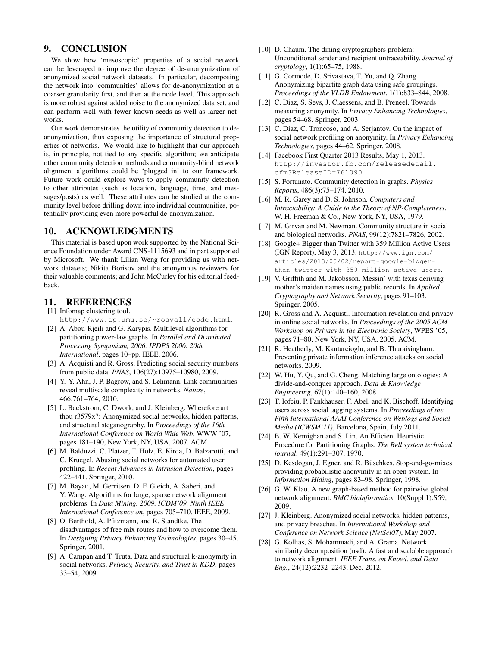# 9. CONCLUSION

We show how 'mesoscopic' properties of a social network can be leveraged to improve the degree of de-anonymization of anonymized social network datasets. In particular, decomposing the network into 'communities' allows for de-anonymization at a coarser granularity first, and then at the node level. This approach is more robust against added noise to the anonymized data set, and can perform well with fewer known seeds as well as larger networks.

Our work demonstrates the utility of community detection to deanonymization, thus exposing the importance of structural properties of networks. We would like to highlight that our approach is, in principle, not tied to any specific algorithm; we anticipate other community detection methods and community-blind network alignment algorithms could be 'plugged in' to our framework. Future work could explore ways to apply community detection to other attributes (such as location, language, time, and messages/posts) as well. These attributes can be studied at the community level before drilling down into individual communities, potentially providing even more powerful de-anonymization.

# 10. ACKNOWLEDGMENTS

This material is based upon work supported by the National Science Foundation under Award CNS-1115693 and in part supported by Microsoft. We thank Lilian Weng for providing us with network datasets; Nikita Borisov and the anonymous reviewers for their valuable comments; and John McCurley for his editorial feedback.

# 11. REFERENCES

<span id="page-10-10"></span>[1] Infomap clustering tool. <http://www.tp.umu.se/~rosvall/code.html>.

- <span id="page-10-15"></span>[2] A. Abou-Rjeili and G. Karypis. Multilevel algorithms for partitioning power-law graphs. In *Parallel and Distributed Processing Symposium, 2006. IPDPS 2006. 20th International*, pages 10–pp. IEEE, 2006.
- <span id="page-10-18"></span>[3] A. Acquisti and R. Gross. Predicting social security numbers from public data. *PNAS*, 106(27):10975–10980, 2009.
- <span id="page-10-7"></span>[4] Y.-Y. Ahn, J. P. Bagrow, and S. Lehmann. Link communities reveal multiscale complexity in networks. *Nature*, 466:761–764, 2010.
- <span id="page-10-2"></span>[5] L. Backstrom, C. Dwork, and J. Kleinberg. Wherefore art thou r3579x?: Anonymized social networks, hidden patterns, and structural steganography. In *Proceedings of the 16th International Conference on World Wide Web*, WWW '07, pages 181–190, New York, NY, USA, 2007. ACM.
- <span id="page-10-19"></span>[6] M. Balduzzi, C. Platzer, T. Holz, E. Kirda, D. Balzarotti, and C. Kruegel. Abusing social networks for automated user profiling. In *Recent Advances in Intrusion Detection*, pages 422–441. Springer, 2010.
- <span id="page-10-24"></span>[7] M. Bayati, M. Gerritsen, D. F. Gleich, A. Saberi, and Y. Wang. Algorithms for large, sparse network alignment problems. In *Data Mining, 2009. ICDM'09. Ninth IEEE International Conference on*, pages 705–710. IEEE, 2009.
- <span id="page-10-12"></span>[8] O. Berthold, A. Pfitzmann, and R. Standtke. The disadvantages of free mix routes and how to overcome them. In *Designing Privacy Enhancing Technologies*, pages 30–45. Springer, 2001.
- <span id="page-10-16"></span>[9] A. Campan and T. Truta. Data and structural k-anonymity in social networks. *Privacy, Security, and Trust in KDD*, pages 33–54, 2009.
- <span id="page-10-11"></span>[10] D. Chaum. The dining cryptographers problem: Unconditional sender and recipient untraceability. *Journal of cryptology*, 1(1):65–75, 1988.
- <span id="page-10-17"></span>[11] G. Cormode, D. Srivastava, T. Yu, and Q. Zhang. Anonymizing bipartite graph data using safe groupings. *Proceedings of the VLDB Endowment*, 1(1):833–844, 2008.
- <span id="page-10-14"></span>[12] C. Diaz, S. Seys, J. Claessens, and B. Preneel. Towards measuring anonymity. In *Privacy Enhancing Technologies*, pages 54–68. Springer, 2003.
- <span id="page-10-23"></span>[13] C. Diaz, C. Troncoso, and A. Serjantov. On the impact of social network profiling on anonymity. In *Privacy Enhancing Technologies*, pages 44–62. Springer, 2008.
- <span id="page-10-0"></span>[14] Facebook First Quarter 2013 Results, May 1, 2013. [http://investor.fb.com/releasedetail.](http://investor.fb.com/releasedetail.cfm?ReleaseID=761090) [cfm?ReleaseID=761090](http://investor.fb.com/releasedetail.cfm?ReleaseID=761090).
- <span id="page-10-5"></span>[15] S. Fortunato. Community detection in graphs. *Physics Reports*, 486(3):75–174, 2010.
- <span id="page-10-4"></span>[16] M. R. Garey and D. S. Johnson. *Computers and Intractability: A Guide to the Theory of NP-Completeness*. W. H. Freeman & Co., New York, NY, USA, 1979.
- <span id="page-10-6"></span>[17] M. Girvan and M. Newman. Community structure in social and biological networks. *PNAS*, 99(12):7821–7826, 2002.
- <span id="page-10-1"></span>[18] Google+ Bigger than Twitter with 359 Million Active Users (IGN Report), May 3, 2013. [http://www.ign.com/](http://www.ign.com/articles/2013/05/02/report-google-bigger-than-twitter-with-359-million-active-users) [articles/2013/05/02/report-google-bigger](http://www.ign.com/articles/2013/05/02/report-google-bigger-than-twitter-with-359-million-active-users)[than-twitter-with-359-million-active-users](http://www.ign.com/articles/2013/05/02/report-google-bigger-than-twitter-with-359-million-active-users).
- <span id="page-10-20"></span>[19] V. Griffith and M. Jakobsson. Messin' with texas deriving mother's maiden names using public records. In *Applied Cryptography and Network Security*, pages 91–103. Springer, 2005.
- <span id="page-10-8"></span>[20] R. Gross and A. Acquisti. Information revelation and privacy in online social networks. In *Proceedings of the 2005 ACM Workshop on Privacy in the Electronic Society*, WPES '05, pages 71–80, New York, NY, USA, 2005. ACM.
- <span id="page-10-21"></span>[21] R. Heatherly, M. Kantarcioglu, and B. Thuraisingham. Preventing private information inference attacks on social networks. 2009.
- <span id="page-10-27"></span>[22] W. Hu, Y. Qu, and G. Cheng. Matching large ontologies: A divide-and-conquer approach. *Data & Knowledge Engineering*, 67(1):140–160, 2008.
- <span id="page-10-22"></span>[23] T. Iofciu, P. Fankhauser, F. Abel, and K. Bischoff. Identifying users across social tagging systems. In *Proceedings of the Fifth International AAAI Conference on Weblogs and Social Media (ICWSM'11)*, Barcelona, Spain, July 2011.
- <span id="page-10-9"></span>[24] B. W. Kernighan and S. Lin. An Efficient Heuristic Procedure for Partitioning Graphs. *The Bell system technical journal*, 49(1):291–307, 1970.
- <span id="page-10-13"></span>[25] D. Kesdogan, J. Egner, and R. Büschkes. Stop-and-go-mixes providing probabilistic anonymity in an open system. In *Information Hiding*, pages 83–98. Springer, 1998.
- <span id="page-10-25"></span>[26] G. W. Klau. A new graph-based method for pairwise global network alignment. *BMC bioinformatics*, 10(Suppl 1):S59, 2009.
- <span id="page-10-3"></span>[27] J. Kleinberg. Anonymized social networks, hidden patterns, and privacy breaches. In *International Workshop and Conference on Network Science (NetSci07)*, May 2007.
- <span id="page-10-26"></span>[28] G. Kollias, S. Mohammadi, and A. Grama. Network similarity decomposition (nsd): A fast and scalable approach to network alignment. *IEEE Trans. on Knowl. and Data Eng.*, 24(12):2232–2243, Dec. 2012.